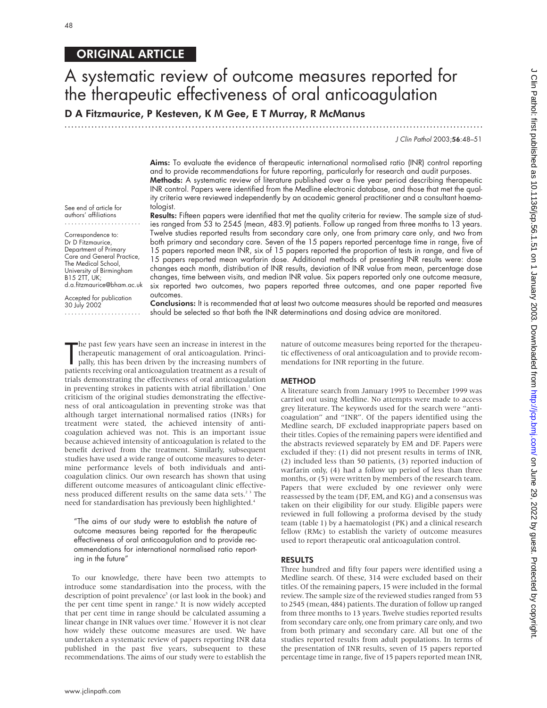### ORIGINAL ARTICLE

# A systematic review of outcome measures reported for the therapeutic effectiveness of oral anticoagulation

D A Fitzmaurice, P Kesteven, K M Gee, E T Murray, R McManus

.............................................................................................................................

J Clin Pathol 2003;56:48–51

Aims: To evaluate the evidence of therapeutic international normalised ratio (INR) control reporting and to provide recommendations for future reporting, particularly for research and audit purposes. Methods: A systematic review of literature published over a five year period describing therapeutic INR control. Papers were identified from the Medline electronic database, and those that met the quality criteria were reviewed independently by an academic general practitioner and a consultant haematologist.

See end of article for authors' affiliations .......................

Correspondence to: Dr D Fitzmaurice, Department of Primary Care and General Practice, The Medical School, University of Birmingham B15 2TT, UK; d.a.fitzmaurice@bham.ac.uk

Accepted for publication 30 July 2002 .......................

Results: Fifteen papers were identified that met the quality criteria for review. The sample size of studies ranged from 53 to 2545 (mean, 483.9) patients. Follow up ranged from three months to 13 years. Twelve studies reported results from secondary care only, one from primary care only, and two from both primary and secondary care. Seven of the 15 papers reported percentage time in range, five of 15 papers reported mean INR, six of 15 papers reported the proportion of tests in range, and five of 15 papers reported mean warfarin dose. Additional methods of presenting INR results were: dose changes each month, distribution of INR results, deviation of INR value from mean, percentage dose changes, time between visits, and median INR value. Six papers reported only one outcome measure, six reported two outcomes, two papers reported three outcomes, and one paper reported five outcomes.

Conclusions: It is recommended that at least two outcome measures should be reported and measures should be selected so that both the INR determinations and dosing advice are monitored.

The past few years have seen an increase in interest in the therapeutic management of oral anticoagulation. Principally, this has been driven by the increasing numbers of patients receiving oral anticoagulation treatment a he past few years have seen an increase in interest in the therapeutic management of oral anticoagulation. Principally, this has been driven by the increasing numbers of trials demonstrating the effectiveness of oral anticoagulation in preventing strokes in patients with atrial fibrillation.<sup>1</sup> One criticism of the original studies demonstrating the effectiveness of oral anticoagulation in preventing stroke was that although target international normalised ratios (INRs) for treatment were stated, the achieved intensity of anticoagulation achieved was not. This is an important issue because achieved intensity of anticoagulation is related to the benefit derived from the treatment. Similarly, subsequent studies have used a wide range of outcome measures to determine performance levels of both individuals and anticoagulation clinics. Our own research has shown that using different outcome measures of anticoagulant clinic effectiveness produced different results on the same data sets.<sup>23</sup> The need for standardisation has previously been highlighted.<sup>4</sup>

"The aims of our study were to establish the nature of outcome measures being reported for the therapeutic effectiveness of oral anticoagulation and to provide recommendations for international normalised ratio reporting in the future"

To our knowledge, there have been two attempts to introduce some standardisation into the process, with the description of point prevalence<sup>5</sup> (or last look in the book) and the per cent time spent in range.<sup>6</sup> It is now widely accepted that per cent time in range should be calculated assuming a linear change in INR values over time.<sup>7</sup> However it is not clear how widely these outcome measures are used. We have undertaken a systematic review of papers reporting INR data published in the past five years, subsequent to these recommendations. The aims of our study were to establish the

nature of outcome measures being reported for the therapeutic effectiveness of oral anticoagulation and to provide recommendations for INR reporting in the future.

#### METHOD

A literature search from January 1995 to December 1999 was carried out using Medline. No attempts were made to access grey literature. The keywords used for the search were "anticoagulation" and "INR". Of the papers identified using the Medline search, DF excluded inappropriate papers based on their titles. Copies of the remaining papers were identified and the abstracts reviewed separately by EM and DF. Papers were excluded if they: (1) did not present results in terms of INR, (2) included less than 50 patients, (3) reported induction of warfarin only, (4) had a follow up period of less than three months, or (5) were written by members of the research team. Papers that were excluded by one reviewer only were reassessed by the team (DF, EM, and KG) and a consensus was taken on their eligibility for our study. Eligible papers were reviewed in full following a proforma devised by the study team (table 1) by a haematologist (PK) and a clinical research fellow (RMc) to establish the variety of outcome measures used to report therapeutic oral anticoagulation control.

#### RESULTS

Three hundred and fifty four papers were identified using a Medline search. Of these, 314 were excluded based on their titles. Of the remaining papers, 15 were included in the formal review. The sample size of the reviewed studies ranged from 53 to 2545 (mean, 484) patients. The duration of follow up ranged from three months to 13 years. Twelve studies reported results from secondary care only, one from primary care only, and two from both primary and secondary care. All but one of the studies reported results from adult populations. In terms of the presentation of INR results, seven of 15 papers reported percentage time in range, five of 15 papers reported mean INR,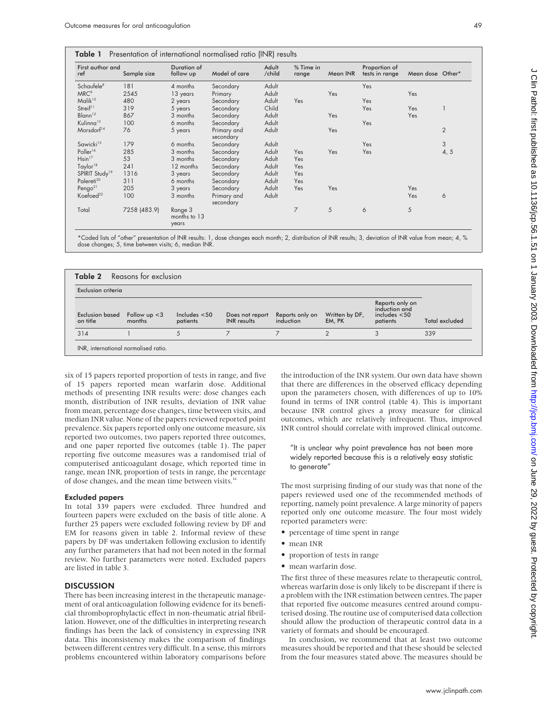| First author and<br>ref    | Sample size  | Duration of<br>follow up         | Model of care            | Adult<br>/child | % Time in<br>range | Mean INR | Proportion of<br>tests in range | Mean dose Other* |                |
|----------------------------|--------------|----------------------------------|--------------------------|-----------------|--------------------|----------|---------------------------------|------------------|----------------|
| Schaufele <sup>8</sup>     | 181          | 4 months                         | Secondary                | Adult           |                    |          | Yes                             |                  |                |
| MRC <sup>9</sup>           | 2545         | 13 years                         | Primary                  | Adult           |                    | Yes      |                                 | Yes              |                |
| Malik <sup>10</sup>        | 480          | 2 years                          | Secondary                | Adult           | Yes                |          | Yes                             |                  |                |
| Streif <sup>11</sup>       | 319          | 5 years                          | Secondary                | Child           |                    |          | Yes                             | Yes              |                |
| Blann <sup>12</sup>        | 867          | 3 months                         | Secondary                | Adult           |                    | Yes      |                                 | Yes              |                |
| Kulinna <sup>13</sup>      | 100          | 6 months                         | Secondary                | Adult           |                    |          | Yes                             |                  |                |
| Morsdorf <sup>14</sup>     | 76           | 5 years                          | Primary and<br>secondary | Adult           |                    | Yes      |                                 |                  | $\overline{2}$ |
| Sawicki <sup>15</sup>      | 179          | 6 months                         | Secondary                | Adult           |                    |          | Yes                             |                  | 3              |
| Poller <sup>16</sup>       | 285          | 3 months                         | Secondary                | Adult           | Yes                | Yes      | Yes                             |                  | 4, 5           |
| $H\sin^{17}$               | 53           | 3 months                         | Secondary                | Adult           | Yes                |          |                                 |                  |                |
| Taylor <sup>18</sup>       | 241          | 12 months                        | Secondary                | Adult           | Yes                |          |                                 |                  |                |
| SPIRIT Study <sup>19</sup> | 1316         | 3 years                          | Secondary                | Adult           | Yes                |          |                                 |                  |                |
| Palereti <sup>20</sup>     | 311          | 6 months                         | Secondary                | Adult           | Yes                |          |                                 |                  |                |
| Pengo <sup>21</sup>        | 205          | 3 years                          | Secondary                | Adult           | Yes                | Yes      |                                 | Yes              |                |
| Koefoed <sup>22</sup>      | 100          | 3 months                         | Primary and<br>secondary | Adult           |                    |          |                                 | Yes              | 6              |
| Total                      | 7258 (483.9) | Range 3<br>months to 13<br>years |                          |                 | $\overline{7}$     | 5        | 6                               | 5                |                |

\*Coded lists of "other" presentation of INR results: 1, dose changes each month; 2, distribution of INR results; 3, deviation of INR value from mean; 4, % dose changes; 5, time between visits; 6, median INR.

| <b>Table 2</b> Reasons for exclusion |                           |                             |                                       |                              |                          |                                                                 |                       |
|--------------------------------------|---------------------------|-----------------------------|---------------------------------------|------------------------------|--------------------------|-----------------------------------------------------------------|-----------------------|
| Exclusion criteria                   |                           |                             |                                       |                              |                          |                                                                 |                       |
| Exclusion based<br>on title          | Follow $up < 3$<br>months | Includes $<$ 50<br>patients | Does not report<br><b>INR</b> results | Reports only on<br>induction | Written by DF,<br>EM, PK | Reports only on<br>induction and<br>includes $< 50$<br>patients | <b>Total excluded</b> |
| 314                                  |                           |                             |                                       |                              |                          |                                                                 | 339                   |
| INR, international normalised ratio. |                           |                             |                                       |                              |                          |                                                                 |                       |

six of 15 papers reported proportion of tests in range, and five of 15 papers reported mean warfarin dose. Additional methods of presenting INR results were: dose changes each month, distribution of INR results, deviation of INR value from mean, percentage dose changes, time between visits, and median INR value. None of the papers reviewed reported point prevalence. Six papers reported only one outcome measure, six reported two outcomes, two papers reported three outcomes, and one paper reported five outcomes (table 1). The paper reporting five outcome measures was a randomised trial of computerised anticoagulant dosage, which reported time in range, mean INR, proportion of tests in range, the percentage of dose changes, and the mean time between visits.<sup>16</sup>

#### Excluded papers

In total 339 papers were excluded. Three hundred and fourteen papers were excluded on the basis of title alone. A further 25 papers were excluded following review by DF and EM for reasons given in table 2. Informal review of these papers by DF was undertaken following exclusion to identify any further parameters that had not been noted in the formal review. No further parameters were noted. Excluded papers are listed in table 3.

#### **DISCUSSION**

There has been increasing interest in the therapeutic management of oral anticoagulation following evidence for its beneficial thromboprophylactic effect in non-rheumatic atrial fibrillation. However, one of the difficulties in interpreting research findings has been the lack of consistency in expressing INR data. This inconsistency makes the comparison of findings between different centres very difficult. In a sense, this mirrors problems encountered within laboratory comparisons before

the introduction of the INR system. Our own data have shown that there are differences in the observed efficacy depending upon the parameters chosen, with differences of up to 10% found in terms of INR control (table 4). This is important because INR control gives a proxy measure for clinical outcomes, which are relatively infrequent. Thus, improved INR control should correlate with improved clinical outcome.

#### "It is unclear why point prevalence has not been more widely reported because this is a relatively easy statistic to generate"

The most surprising finding of our study was that none of the papers reviewed used one of the recommended methods of reporting, namely point prevalence. A large minority of papers reported only one outcome measure. The four most widely reported parameters were:

- percentage of time spent in range
- mean INR
- proportion of tests in range
- mean warfarin dose.

The first three of these measures relate to therapeutic control, whereas warfarin dose is only likely to be discrepant if there is a problem with the INR estimation between centres. The paper that reported five outcome measures centred around computerised dosing. The routine use of computerised data collection should allow the production of therapeutic control data in a variety of formats and should be encouraged.

In conclusion, we recommend that at least two outcome measures should be reported and that these should be selected from the four measures stated above. The measures should be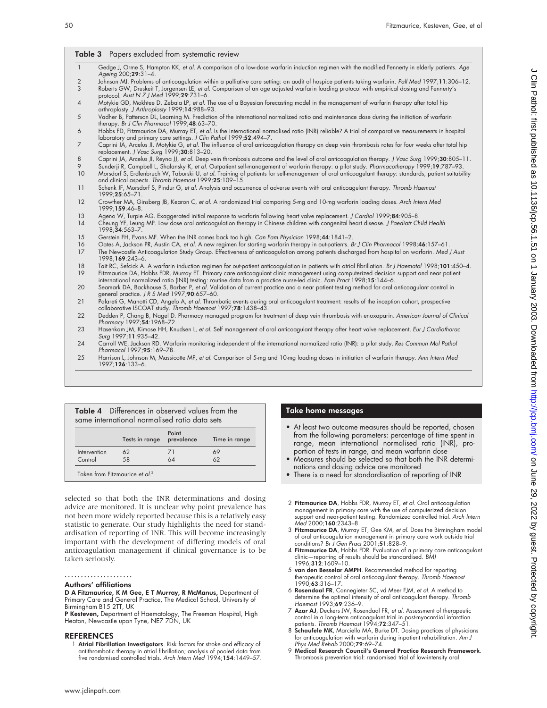| $\mathbf{1}$    | Gedge J, Orme S, Hampton KK, et al. A comparison of a low-dose warfarin induction regimen with the modified Fennerty in elderly patients. Age                                                                                                                                       |
|-----------------|-------------------------------------------------------------------------------------------------------------------------------------------------------------------------------------------------------------------------------------------------------------------------------------|
| $\overline{2}$  | Ageing 200;29:31-4.<br>Johnson MJ. Problems of anticoagulation within a palliative care setting: an audit of hospice patients taking warfarin. Pall Med 1997;11:306-12.                                                                                                             |
| 3               | Roberts GW, Druskeit T, Jorgensen LE, et al. Comparison of an age adjusted warfarin loading protocol with empirical dosing and Fennerty's<br>protocol. Aust N $ZJ$ Med 1999;29:731-6.                                                                                               |
| $\overline{4}$  | Motykie GD, Mokhtee D, Zebala LP, et al. The use of a Bayesian forecasting model in the management of warfarin therapy after total hip<br>arthroplasty. J Arthroplasty 1999;14:988-93.                                                                                              |
| 5               | Vadher B, Patterson DL, Learning M. Prediction of the international normalized ratio and maintenance dose during the initiation of warfarin<br>therapy. Br J Clin Pharmacol 1999;48:63-70.                                                                                          |
| 6               | Hobbs FD, Fitzmaurice DA, Murray ET, et al. Is the international normalised ratio (INR) reliable? A trial of comparative measurements in hospital<br>laboratory and primary care settings. J Clin Pathol 1999;52:494-7.                                                             |
| 7               | Caprini JA, Arcelus JI, Motykie G, et al. The influence of oral anticoagulation therapy on deep vein thrombosis rates for four weeks after total hip<br>replacement. J Vasc Surg 1999;30:813-20.                                                                                    |
| 8               | Caprini JA, Arcelus JI, Reyna JJ, et al. Deep vein thrombosis outcome and the level of oral anticoagulation therapy. J Vasc Surg 1999;30:805-11.                                                                                                                                    |
| 9               | Sunderji R, Campbell L, Shalansky K, et al. Outpatient self-management of warfarin therapy: a pilot study. Pharmacotherapy 1999;19:787-93.                                                                                                                                          |
| 10 <sup>°</sup> | Morsdorf S, Erdlenbruch W, Taborski U, et al. Training of patients for self-management of oral anticoagulant therapy: standards, patient suitability<br>and clinical aspects. Thromb Haemost 1999;25:109-15.                                                                        |
| 11              | Schenk JF, Morsdorf S, Pindur G, et al. Analysis and occurrence of adverse events with oral anticoagulant therapy. Thromb Haemost<br>1999;25:65-71.                                                                                                                                 |
| 12              | Crowther MA, Ginsberg JB, Kearon C, et al. A randomized trial comparing 5-mg and 10-mg warfarin loading doses. Arch Intern Med<br>1999;159:46-8.                                                                                                                                    |
| 13<br>14        | Ageno W, Turpie AG. Exaggerated initial response to warfarin following heart valve replacement. J Cardiol 1999;84:905-8.<br>Cheung YF, Leung MP. Low dose oral anticoagulation therapy in Chinese children with congenital heart disease. J Paediatr Child Health<br>1998:34:563-7. |
| 15              | Gerstein FH, Evans MF. When the INR comes back too high. Can Fam Physician 1998;44:1841-2.                                                                                                                                                                                          |
| 16              | Oates A, Jackson PR, Austin CA, et al. A new regimen for starting warfarin therapy in out-patients. Br J Clin Pharmacol 1998;46:157-61.                                                                                                                                             |
| 17              | The Newcastle Anticoagulation Study Group. Effectiveness of anticoagulation among patients discharged from hospital on warfarin. Med J Aust<br>1998;169:243-6.                                                                                                                      |
| 18              | Tait RC, Sefcick A. A warfarin induction regimen for out-patient anticoagulation in patients with atrial fibrillation. Br J Haematol 1998;101:450-4.                                                                                                                                |
| 19              | Fitzmaurice DA, Hobbs FDR, Murray ET. Primary care anticoagulant clinic management using computerized decision support and near patient<br>international normalized ratio (INR) testing: routine data from a practice nurse-led clinic. Fam Pract 1998;15:144-6.                    |
| 20              | Seamark DA, Backhouse S, Barber P, et al. Validation of current practice and a near patient testing method for oral anticoagulant control in<br>general practice. J R S Med 1997;90:657-60.                                                                                         |
| 21              | Palareti G, Manotti CD, Angelo A, et al. Thrombotic events during oral anticoagulant treatment: results of the inception cohort, prospective<br>collaborative ISCOAT study. Thromb Haemost 1997;78:1438-43.                                                                         |
| 22              | Dedden P, Chang B, Nagel D. Pharmacy managed program for treatment of deep vein thrombosis with enoxaparin. American Journal of Clinical<br>Pharmacy 1997;54:1968-72.                                                                                                               |
| 23              | Hasenkam JM, Kimose HH, Knudsen L, et al. Self management of oral anticoagulant therapy after heart valve replacement. Eur J Cardiothorac<br>Surg 1997;11:935-42.                                                                                                                   |
| 24              | Carroll WE, Jackson RD. Warfarin monitoring independent of the international normalized ratio (INR): a pilot study. Res Commun Mol Pathol<br>Pharmacol 1997;95:169-78.                                                                                                              |
| 25              | Harrison L, Johnson M, Massicotte MP, et al. Comparison of 5-mg and 10-mg loading doses in initiation of warfarin therapy. Ann Intern Med<br>1997;126:133-6.                                                                                                                        |

|              |                           | Point |               |
|--------------|---------------------------|-------|---------------|
|              | Tests in range prevalence |       | Time in range |
| Intervention | 62                        | 71    | 69            |
| Control      | 58                        | 64    | 62            |

selected so that both the INR determinations and dosing advice are monitored. It is unclear why point prevalence has not been more widely reported because this is a relatively easy statistic to generate. Our study highlights the need for standardisation of reporting of INR. This will become increasingly important with the development of differing models of oral anticoagulation management if clinical governance is to be taken seriously.

#### .....................

#### Authors' affiliations

D A Fitzmaurice, K M Gee, E T Murray, R McManus, Department of Primary Care and General Practice, The Medical School, University of Birmingham B15 2TT, UK

**P Kesteven,** Department of Haematology, The Freeman Hospital, High<br>Heaton, Newcastle upon Tyne, NE7 7DN, UK

#### REFERENCES

1 Atrial Fibrillation Investigators. Risk factors for stroke and efficacy of antithrombotic therapy in atrial fibrillation; analysis of pooled data from five randomised controlled trials. Arch Intern Med 1994;154:1449–57.

#### Take home messages

- At least two outcome measures should be reported, chosen from the following parameters: percentage of time spent in range, mean international normalised ratio (INR), proportion of tests in range, and mean warfarin dose
- Measures should be selected so that both the INR determinations and dosing advice are monitored
- There is a need for standardisation of reporting of INR
- 2 Fitzmaurice DA, Hobbs FDR, Murray ET, et al. Oral anticoagulation management in primary care with the use of computerized decision support and near-patient testing. Randomized controlled trial. Arch Intern Med 2000;160:2343–8.
- 3 Fitzmaurice DA, Murray ET, Gee KM, et al. Does the Birmingham model of oral anticoagulation management in primary care work outside trial<br>conditions? *Br J Gen Pract* 2001;**51**:828–9.
- 4 Fitzmaurice DA, Hobbs FDR. Evaluation of a primary care anticoagulant clinic—reporting of results should be standardised. BMJ 1996;312:1609–10.
- 5 van den Besselar AMPH. Recommended method for reporting therapeutic control of oral anticoagulant therapy. *Thromb Haemost*<br>1990;**63**:316–17.
- 6 Rosendaal FR, Cannegieter SC, vd Meer FJM, et al. A method to determine the optimal intensity of oral anticoagulant therapy. Thromb Haemost 1993;69:236–9.
- 7 Azar AJ, Deckers JW, Rosendaal FR, et al. Assessment of therapeutic control in a long-term anticoagulant trial in post-myocardial infarction<br>patients. *Thromb Haemost* 1994;**72**:347–51.<br>8 **Schaufele MK**, Marciello MA, Burke DT. Dosing practices of physicians
- for anticoagulation with warfarin during inpatient rehabilitation. Am J Phys Med Rehab 2000;79:69–74.
- 9 Medical Research Council's General Practice Research Framework. Thrombosis prevention trial: randomised trial of low-intensity oral